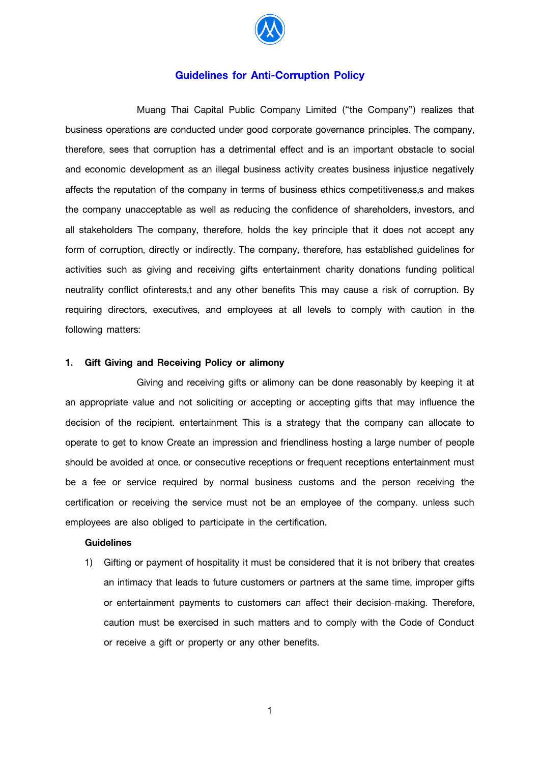

# **Guidelines for Anti-Corruption Policy**

 Muang Thai Capital Public Company Limited ("the Company") realizes that business operations are conducted under good corporate governance principles. The company, therefore, sees that corruption has a detrimental effect and is an important obstacle to social and economic development as an illegal business activity creates business injustice negatively affects the reputation of the company in terms of business ethics competitiveness,s and makes the company unacceptable as well as reducing the confidence of shareholders, investors, and all stakeholders The company, therefore, holds the key principle that it does not accept any form of corruption, directly or indirectly. The company, therefore, has established guidelines for activities such as giving and receiving gifts entertainment charity donations funding political neutrality conflict ofinterests,t and any other benefits This may cause a risk of corruption. By requiring directors, executives, and employees at all levels to comply with caution in the following matters:

## **1. Gift Giving and Receiving Policy or alimony**

 Giving and receiving gifts or alimony can be done reasonably by keeping it at an appropriate value and not soliciting or accepting or accepting gifts that may influence the decision of the recipient. entertainment This is a strategy that the company can allocate to operate to get to know Create an impression and friendliness hosting a large number of people should be avoided at once. or consecutive receptions or frequent receptions entertainment must be a fee or service required by normal business customs and the person receiving the certification or receiving the service must not be an employee of the company. unless such employees are also obliged to participate in the certification.

#### **Guidelines**

1) Gifting or payment of hospitality it must be considered that it is not bribery that creates an intimacy that leads to future customers or partners at the same time, improper gifts or entertainment payments to customers can affect their decision-making. Therefore, caution must be exercised in such matters and to comply with the Code of Conduct or receive a gift or property or any other benefits.

1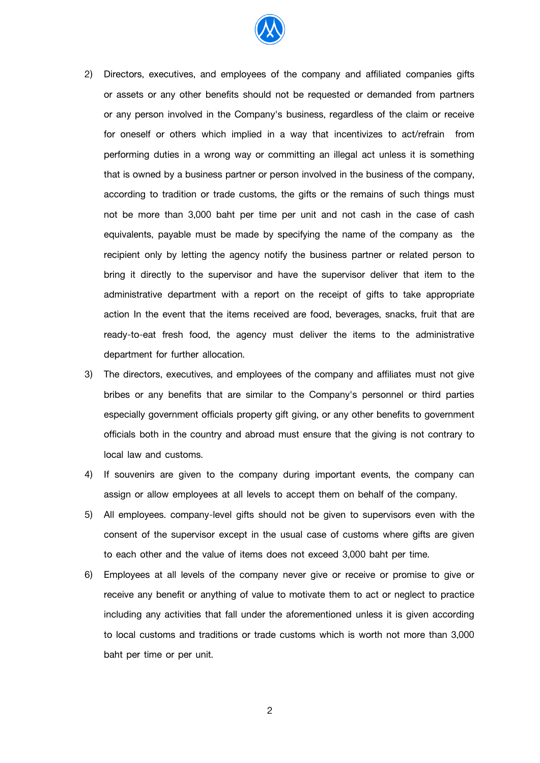

- 2) Directors, executives, and employees of the company and affiliated companies gifts or assets or any other benefits should not be requested or demanded from partners or any person involved in the Company's business, regardless of the claim or receive for oneself or others which implied in a way that incentivizes to act/refrain from performing duties in a wrong way or committing an illegal act unless it is something that is owned by a business partner or person involved in the business of the company, according to tradition or trade customs, the gifts or the remains of such things must not be more than 3,000 baht per time per unit and not cash in the case of cash equivalents, payable must be made by specifying the name of the company as the recipient only by letting the agency notify the business partner or related person to bring it directly to the supervisor and have the supervisor deliver that item to the administrative department with a report on the receipt of gifts to take appropriate action In the event that the items received are food, beverages, snacks, fruit that are ready-to-eat fresh food, the agency must deliver the items to the administrative department for further allocation.
- 3) The directors, executives, and employees of the company and affiliates must not give bribes or any benefits that are similar to the Company's personnel or third parties especially government officials property gift giving, or any other benefits to government officials both in the country and abroad must ensure that the giving is not contrary to local law and customs.
- 4) If souvenirs are given to the company during important events, the company can assign or allow employees at all levels to accept them on behalf of the company.
- 5) All employees. company-level gifts should not be given to supervisors even with the consent of the supervisor except in the usual case of customs where gifts are given to each other and the value of items does not exceed 3,000 baht per time.
- 6) Employees at all levels of the company never give or receive or promise to give or receive any benefit or anything of value to motivate them to act or neglect to practice including any activities that fall under the aforementioned unless it is given according to local customs and traditions or trade customs which is worth not more than 3,000 baht per time or per unit.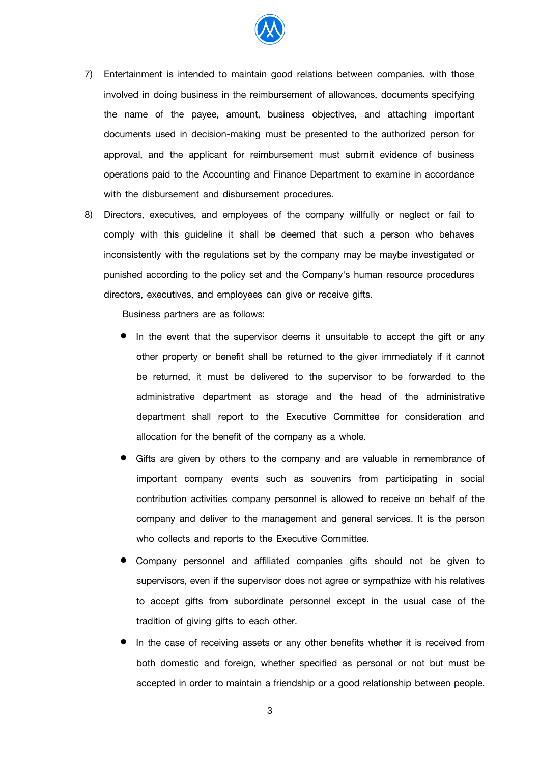

- 7) Entertainment is intended to maintain good relations between companies. with those involved in doing business in the reimbursement of allowances, documents specifying the name of the payee, amount, business objectives, and attaching important documents used in decision-making must be presented to the authorized person for approval, and the applicant for reimbursement must submit evidence of business operations paid to the Accounting and Finance Department to examine in accordance with the disbursement and disbursement procedures.
- 8) Directors, executives, and employees of the company willfully or neglect or fail to comply with this guideline it shall be deemed that such a person who behaves inconsistently with the regulations set by the company may be maybe investigated or punished according to the policy set and the Company's human resource procedures directors, executives, and employees can give or receive gifts.

Business partners are as follows:

- In the event that the supervisor deems it unsuitable to accept the gift or any other property or benefit shall be returned to the giver immediately if it cannot be returned, it must be delivered to the supervisor to be forwarded to the administrative department as storage and the head of the administrative department shall report to the Executive Committee for consideration and allocation for the benefit of the company as a whole.
- Gifts are given by others to the company and are valuable in remembrance of important company events such as souvenirs from participating in social contribution activities company personnel is allowed to receive on behalf of the company and deliver to the management and general services. It is the person who collects and reports to the Executive Committee.
- Company personnel and affiliated companies gifts should not be given to supervisors, even if the supervisor does not agree or sympathize with his relatives to accept gifts from subordinate personnel except in the usual case of the tradition of giving gifts to each other.
- In the case of receiving assets or any other benefits whether it is received from both domestic and foreign, whether specified as personal or not but must be accepted in order to maintain a friendship or a good relationship between people.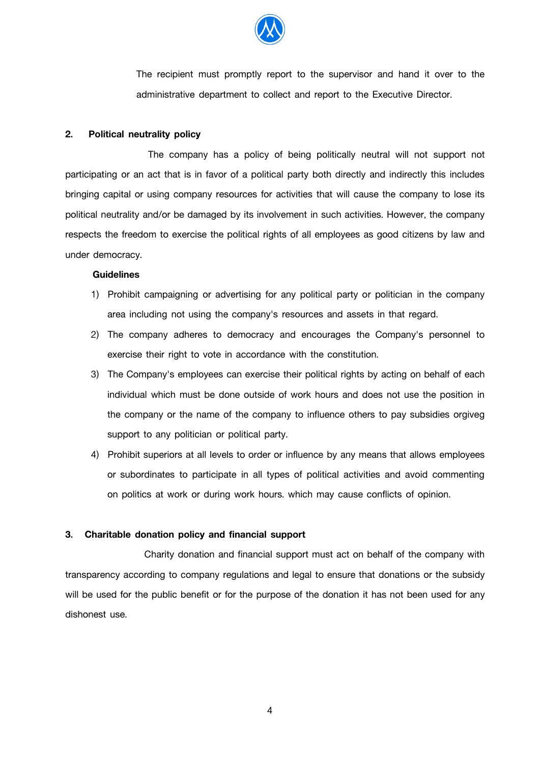

The recipient must promptly report to the supervisor and hand it over to the administrative department to collect and report to the Executive Director.

## **2. Political neutrality policy**

 The company has a policy of being politically neutral will not support not participating or an act that is in favor of a political party both directly and indirectly this includes bringing capital or using company resources for activities that will cause the company to lose its political neutrality and/or be damaged by its involvement in such activities. However, the company respects the freedom to exercise the political rights of all employees as good citizens by law and under democracy.

#### **Guidelines**

- 1) Prohibit campaigning or advertising for any political party or politician in the company area including not using the company's resources and assets in that regard.
- 2) The company adheres to democracy and encourages the Company's personnel to exercise their right to vote in accordance with the constitution.
- 3) The Company's employees can exercise their political rights by acting on behalf of each individual which must be done outside of work hours and does not use the position in the company or the name of the company to influence others to pay subsidies orgiveg support to any politician or political party.
- 4) Prohibit superiors at all levels to order or influence by any means that allows employees or subordinates to participate in all types of political activities and avoid commenting on politics at work or during work hours. which may cause conflicts of opinion.

#### **3. Charitable donation policy and financial support**

 Charity donation and financial support must act on behalf of the company with transparency according to company regulations and legal to ensure that donations or the subsidy will be used for the public benefit or for the purpose of the donation it has not been used for any dishonest use.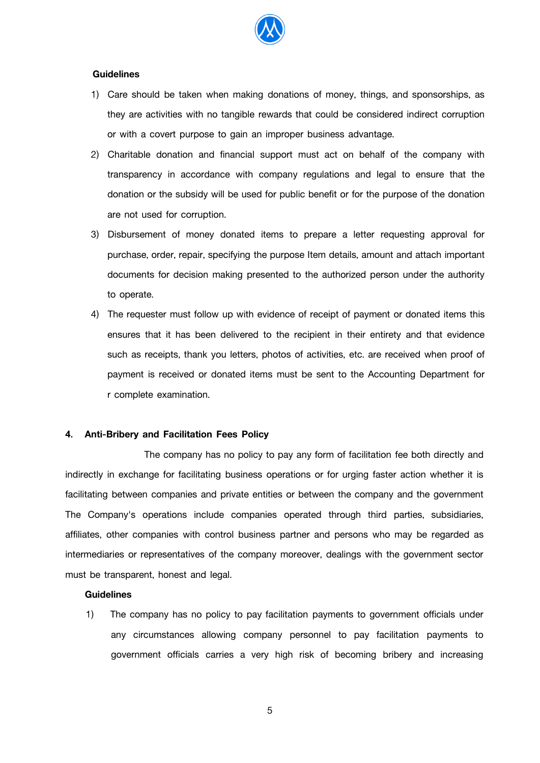

## **Guidelines**

- 1) Care should be taken when making donations of money, things, and sponsorships, as they are activities with no tangible rewards that could be considered indirect corruption or with a covert purpose to gain an improper business advantage.
- 2) Charitable donation and financial support must act on behalf of the company with transparency in accordance with company regulations and legal to ensure that the donation or the subsidy will be used for public benefit or for the purpose of the donation are not used for corruption.
- 3) Disbursement of money donated items to prepare a letter requesting approval for purchase, order, repair, specifying the purpose Item details, amount and attach important documents for decision making presented to the authorized person under the authority to operate.
- 4) The requester must follow up with evidence of receipt of payment or donated items this ensures that it has been delivered to the recipient in their entirety and that evidence such as receipts, thank you letters, photos of activities, etc. are received when proof of payment is received or donated items must be sent to the Accounting Department for r complete examination.

## **4. Anti-Bribery and Facilitation Fees Policy**

 The company has no policy to pay any form of facilitation fee both directly and indirectly in exchange for facilitating business operations or for urging faster action whether it is facilitating between companies and private entities or between the company and the government The Company's operations include companies operated through third parties, subsidiaries, affiliates, other companies with control business partner and persons who may be regarded as intermediaries or representatives of the company moreover, dealings with the government sector must be transparent, honest and legal.

#### **Guidelines**

1) The company has no policy to pay facilitation payments to government officials under any circumstances allowing company personnel to pay facilitation payments to government officials carries a very high risk of becoming bribery and increasing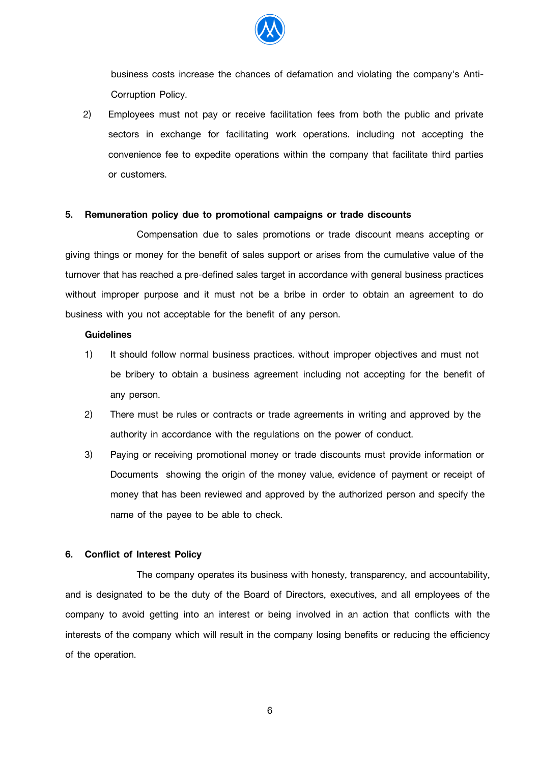

business costs increase the chances of defamation and violating the company's Anti-Corruption Policy.

2) Employees must not pay or receive facilitation fees from both the public and private sectors in exchange for facilitating work operations. including not accepting the convenience fee to expedite operations within the company that facilitate third parties or customers.

## **5. Remuneration policy due to promotional campaigns or trade discounts**

 Compensation due to sales promotions or trade discount means accepting or giving things or money for the benefit of sales support or arises from the cumulative value of the turnover that has reached a pre-defined sales target in accordance with general business practices without improper purpose and it must not be a bribe in order to obtain an agreement to do business with you not acceptable for the benefit of any person.

## **Guidelines**

- 1) It should follow normal business practices. without improper objectives and must not be bribery to obtain a business agreement including not accepting for the benefit of any person.
- 2) There must be rules or contracts or trade agreements in writing and approved by the authority in accordance with the regulations on the power of conduct.
- 3) Paying or receiving promotional money or trade discounts must provide information or Documents showing the origin of the money value, evidence of payment or receipt of money that has been reviewed and approved by the authorized person and specify the name of the payee to be able to check.

#### **6. Conflict of Interest Policy**

 The company operates its business with honesty, transparency, and accountability, and is designated to be the duty of the Board of Directors, executives, and all employees of the company to avoid getting into an interest or being involved in an action that conflicts with the interests of the company which will result in the company losing benefits or reducing the efficiency of the operation.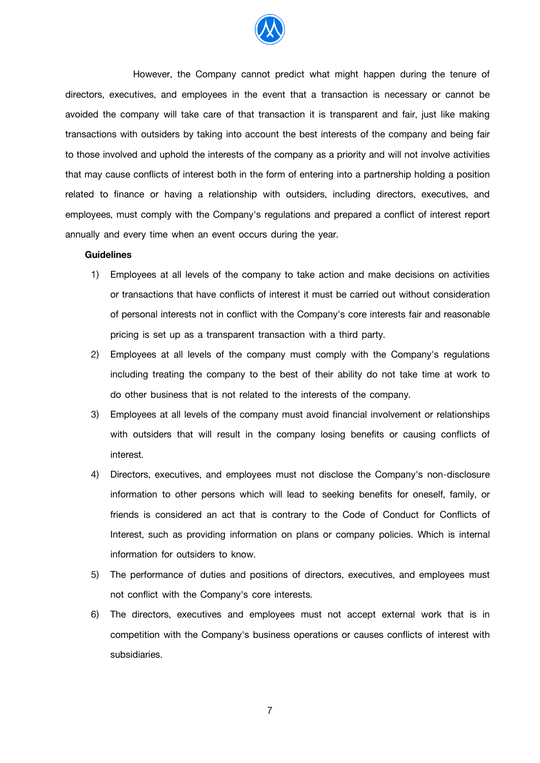

 However, the Company cannot predict what might happen during the tenure of directors, executives, and employees in the event that a transaction is necessary or cannot be avoided the company will take care of that transaction it is transparent and fair, just like making transactions with outsiders by taking into account the best interests of the company and being fair to those involved and uphold the interests of the company as a priority and will not involve activities that may cause conflicts of interest both in the form of entering into a partnership holding a position related to finance or having a relationship with outsiders, including directors, executives, and employees, must comply with the Company's regulations and prepared a conflict of interest report annually and every time when an event occurs during the year.

## **Guidelines**

- 1) Employees at all levels of the company to take action and make decisions on activities or transactions that have conflicts of interest it must be carried out without consideration of personal interests not in conflict with the Company's core interests fair and reasonable pricing is set up as a transparent transaction with a third party.
- 2) Employees at all levels of the company must comply with the Company's regulations including treating the company to the best of their ability do not take time at work to do other business that is not related to the interests of the company.
- 3) Employees at all levels of the company must avoid financial involvement or relationships with outsiders that will result in the company losing benefits or causing conflicts of interest.
- 4) Directors, executives, and employees must not disclose the Company's non-disclosure information to other persons which will lead to seeking benefits for oneself, family, or friends is considered an act that is contrary to the Code of Conduct for Conflicts of Interest, such as providing information on plans or company policies. Which is internal information for outsiders to know.
- 5) The performance of duties and positions of directors, executives, and employees must not conflict with the Company's core interests.
- 6) The directors, executives and employees must not accept external work that is in competition with the Company's business operations or causes conflicts of interest with subsidiaries.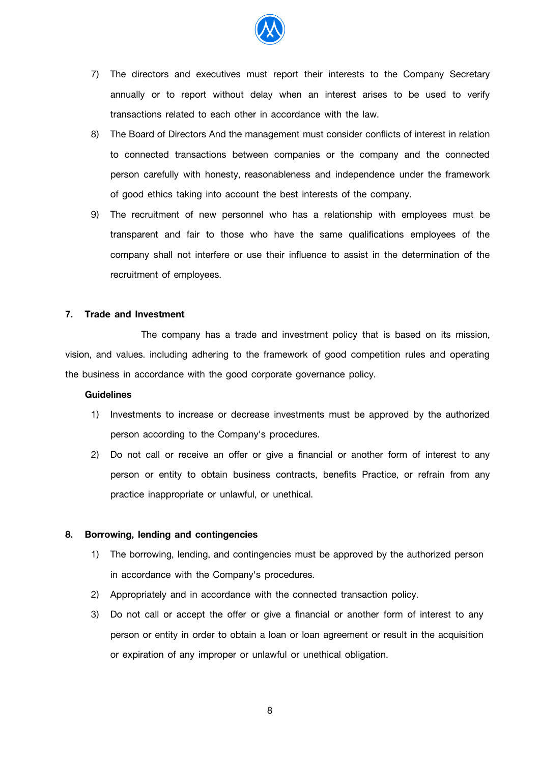

- 7) The directors and executives must report their interests to the Company Secretary annually or to report without delay when an interest arises to be used to verify transactions related to each other in accordance with the law.
- 8) The Board of Directors And the management must consider conflicts of interest in relation to connected transactions between companies or the company and the connected person carefully with honesty, reasonableness and independence under the framework of good ethics taking into account the best interests of the company.
- 9) The recruitment of new personnel who has a relationship with employees must be transparent and fair to those who have the same qualifications employees of the company shall not interfere or use their influence to assist in the determination of the recruitment of employees.

# **7. Trade and Investment**

 The company has a trade and investment policy that is based on its mission, vision, and values. including adhering to the framework of good competition rules and operating the business in accordance with the good corporate governance policy.

## **Guidelines**

- 1) Investments to increase or decrease investments must be approved by the authorized person according to the Company's procedures.
- 2) Do not call or receive an offer or give a financial or another form of interest to any person or entity to obtain business contracts, benefits Practice, or refrain from any practice inappropriate or unlawful, or unethical.

#### **8. Borrowing, lending and contingencies**

- 1) The borrowing, lending, and contingencies must be approved by the authorized person in accordance with the Company's procedures.
- 2) Appropriately and in accordance with the connected transaction policy.
- 3) Do not call or accept the offer or give a financial or another form of interest to any person or entity in order to obtain a loan or loan agreement or result in the acquisition or expiration of any improper or unlawful or unethical obligation.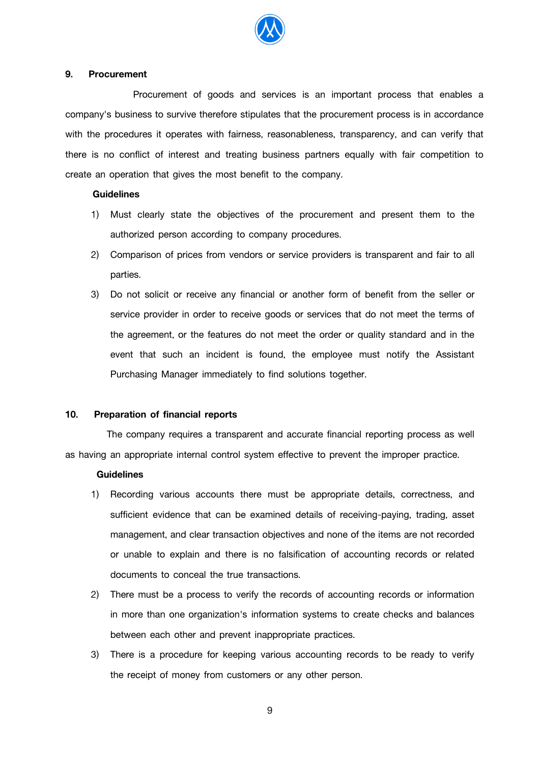

#### **9. Procurement**

 Procurement of goods and services is an important process that enables a company's business to survive therefore stipulates that the procurement process is in accordance with the procedures it operates with fairness, reasonableness, transparency, and can verify that there is no conflict of interest and treating business partners equally with fair competition to create an operation that gives the most benefit to the company.

## **Guidelines**

- 1) Must clearly state the objectives of the procurement and present them to the authorized person according to company procedures.
- 2) Comparison of prices from vendors or service providers is transparent and fair to all parties.
- 3) Do not solicit or receive any financial or another form of benefit from the seller or service provider in order to receive goods or services that do not meet the terms of the agreement, or the features do not meet the order or quality standard and in the event that such an incident is found, the employee must notify the Assistant Purchasing Manager immediately to find solutions together.

## **10. Preparation of financial reports**

 The company requires a transparent and accurate financial reporting process as well as having an appropriate internal control system effective to prevent the improper practice.

#### **Guidelines**

- 1) Recording various accounts there must be appropriate details, correctness, and sufficient evidence that can be examined details of receiving-paying, trading, asset management, and clear transaction objectives and none of the items are not recorded or unable to explain and there is no falsification of accounting records or related documents to conceal the true transactions.
- 2) There must be a process to verify the records of accounting records or information in more than one organization's information systems to create checks and balances between each other and prevent inappropriate practices.
- 3) There is a procedure for keeping various accounting records to be ready to verify the receipt of money from customers or any other person.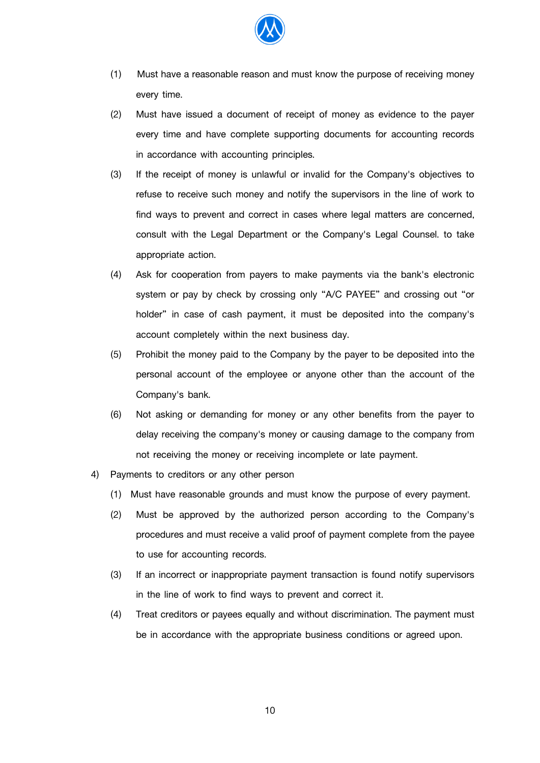

- (1) Must have a reasonable reason and must know the purpose of receiving money every time.
- (2) Must have issued a document of receipt of money as evidence to the payer every time and have complete supporting documents for accounting records in accordance with accounting principles.
- (3) If the receipt of money is unlawful or invalid for the Company's objectives to refuse to receive such money and notify the supervisors in the line of work to find ways to prevent and correct in cases where legal matters are concerned, consult with the Legal Department or the Company's Legal Counsel. to take appropriate action.
- (4) Ask for cooperation from payers to make payments via the bank's electronic system or pay by check by crossing only "A/C PAYEE" and crossing out "or holder" in case of cash payment, it must be deposited into the company's account completely within the next business day.
- (5) Prohibit the money paid to the Company by the payer to be deposited into the personal account of the employee or anyone other than the account of the Company's bank.
- (6) Not asking or demanding for money or any other benefits from the payer to delay receiving the company's money or causing damage to the company from not receiving the money or receiving incomplete or late payment.
- 4) Payments to creditors or any other person
	- (1) Must have reasonable grounds and must know the purpose of every payment.
	- (2) Must be approved by the authorized person according to the Company's procedures and must receive a valid proof of payment complete from the payee to use for accounting records.
	- (3) If an incorrect or inappropriate payment transaction is found notify supervisors in the line of work to find ways to prevent and correct it.
	- (4) Treat creditors or payees equally and without discrimination. The payment must be in accordance with the appropriate business conditions or agreed upon.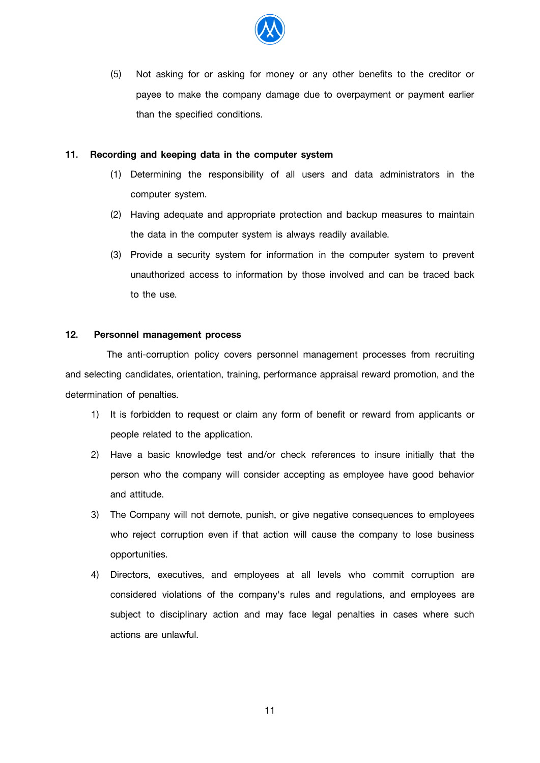

(5) Not asking for or asking for money or any other benefits to the creditor or payee to make the company damage due to overpayment or payment earlier than the specified conditions.

## **11. Recording and keeping data in the computer system**

- (1) Determining the responsibility of all users and data administrators in the computer system.
- (2) Having adequate and appropriate protection and backup measures to maintain the data in the computer system is always readily available.
- (3) Provide a security system for information in the computer system to prevent unauthorized access to information by those involved and can be traced back to the use.

## **12. Personnel management process**

 The anti-corruption policy covers personnel management processes from recruiting and selecting candidates, orientation, training, performance appraisal reward promotion, and the determination of penalties.

- 1) It is forbidden to request or claim any form of benefit or reward from applicants or people related to the application.
- 2) Have a basic knowledge test and/or check references to insure initially that the person who the company will consider accepting as employee have good behavior and attitude.
- 3) The Company will not demote, punish, or give negative consequences to employees who reject corruption even if that action will cause the company to lose business opportunities.
- 4) Directors, executives, and employees at all levels who commit corruption are considered violations of the company's rules and regulations, and employees are subject to disciplinary action and may face legal penalties in cases where such actions are unlawful.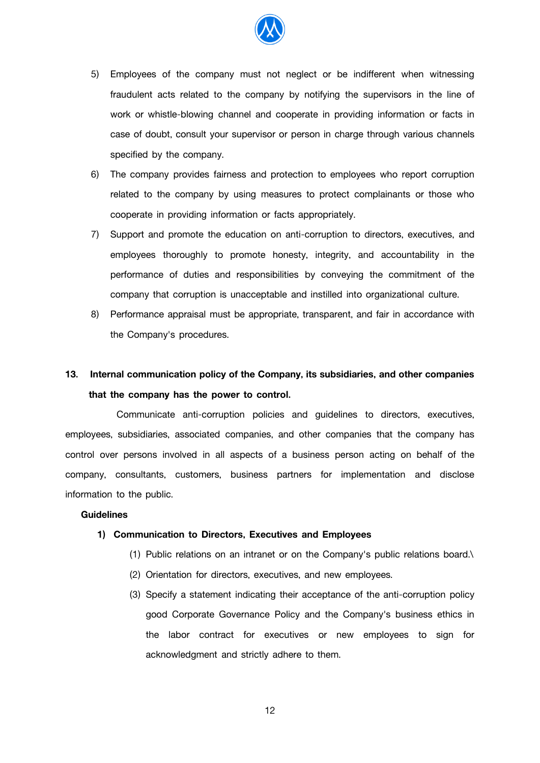

- 5) Employees of the company must not neglect or be indifferent when witnessing fraudulent acts related to the company by notifying the supervisors in the line of work or whistle-blowing channel and cooperate in providing information or facts in case of doubt, consult your supervisor or person in charge through various channels specified by the company.
- 6) The company provides fairness and protection to employees who report corruption related to the company by using measures to protect complainants or those who cooperate in providing information or facts appropriately.
- 7) Support and promote the education on anti-corruption to directors, executives, and employees thoroughly to promote honesty, integrity, and accountability in the performance of duties and responsibilities by conveying the commitment of the company that corruption is unacceptable and instilled into organizational culture.
- 8) Performance appraisal must be appropriate, transparent, and fair in accordance with the Company's procedures.

# **13. Internal communication policy of the Company, its subsidiaries, and other companies that the company has the power to control.**

 Communicate anti-corruption policies and guidelines to directors, executives, employees, subsidiaries, associated companies, and other companies that the company has control over persons involved in all aspects of a business person acting on behalf of the company, consultants, customers, business partners for implementation and disclose information to the public.

## **Guidelines**

## **1) Communication to Directors, Executives and Employees**

- (1) Public relations on an intranet or on the Company's public relations board.\
- (2) Orientation for directors, executives, and new employees.
- (3) Specify a statement indicating their acceptance of the anti-corruption policy good Corporate Governance Policy and the Company's business ethics in the labor contract for executives or new employees to sign for acknowledgment and strictly adhere to them.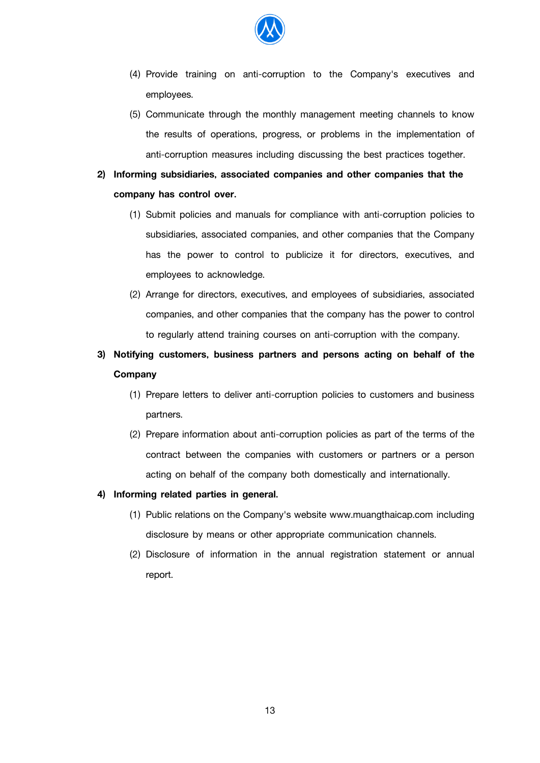

- (4) Provide training on anti-corruption to the Company's executives and employees.
- (5) Communicate through the monthly management meeting channels to know the results of operations, progress, or problems in the implementation of anti-corruption measures including discussing the best practices together.

# **2) Informing subsidiaries, associated companies and other companies that the company has control over.**

- (1) Submit policies and manuals for compliance with anti-corruption policies to subsidiaries, associated companies, and other companies that the Company has the power to control to publicize it for directors, executives, and employees to acknowledge.
- (2) Arrange for directors, executives, and employees of subsidiaries, associated companies, and other companies that the company has the power to control to regularly attend training courses on anti-corruption with the company.

# **3) Notifying customers, business partners and persons acting on behalf of the Company**

- (1) Prepare letters to deliver anti-corruption policies to customers and business partners.
- (2) Prepare information about anti-corruption policies as part of the terms of the contract between the companies with customers or partners or a person acting on behalf of the company both domestically and internationally.

## **4) Informing related parties in general.**

- (1) Public relations on the Company's website www.muangthaicap.com including disclosure by means or other appropriate communication channels.
- (2) Disclosure of information in the annual registration statement or annual report.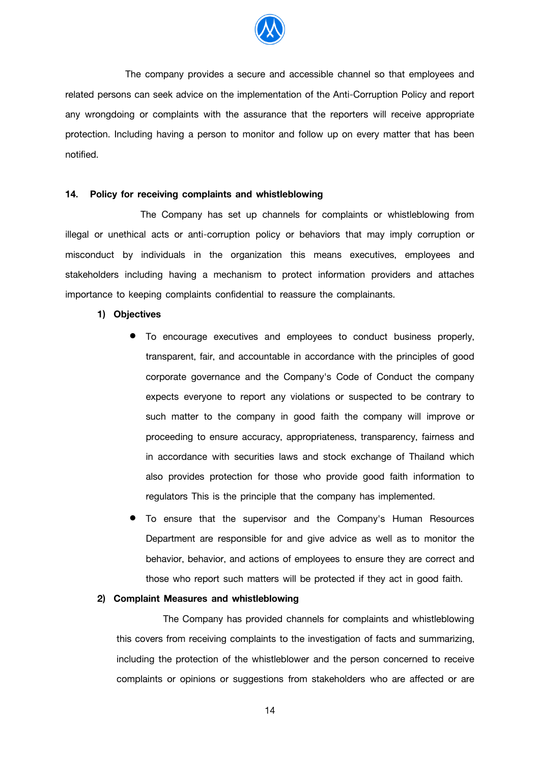

 The company provides a secure and accessible channel so that employees and related persons can seek advice on the implementation of the Anti-Corruption Policy and report any wrongdoing or complaints with the assurance that the reporters will receive appropriate protection. Including having a person to monitor and follow up on every matter that has been notified.

#### **14. Policy for receiving complaints and whistleblowing**

 The Company has set up channels for complaints or whistleblowing from illegal or unethical acts or anti-corruption policy or behaviors that may imply corruption or misconduct by individuals in the organization this means executives, employees and stakeholders including having a mechanism to protect information providers and attaches importance to keeping complaints confidential to reassure the complainants.

#### **1) Objectives**

- To encourage executives and employees to conduct business properly, transparent, fair, and accountable in accordance with the principles of good corporate governance and the Company's Code of Conduct the company expects everyone to report any violations or suspected to be contrary to such matter to the company in good faith the company will improve or proceeding to ensure accuracy, appropriateness, transparency, fairness and in accordance with securities laws and stock exchange of Thailand which also provides protection for those who provide good faith information to regulators This is the principle that the company has implemented.
- To ensure that the supervisor and the Company's Human Resources Department are responsible for and give advice as well as to monitor the behavior, behavior, and actions of employees to ensure they are correct and those who report such matters will be protected if they act in good faith.

#### **2) Complaint Measures and whistleblowing**

 The Company has provided channels for complaints and whistleblowing this covers from receiving complaints to the investigation of facts and summarizing, including the protection of the whistleblower and the person concerned to receive complaints or opinions or suggestions from stakeholders who are affected or are

14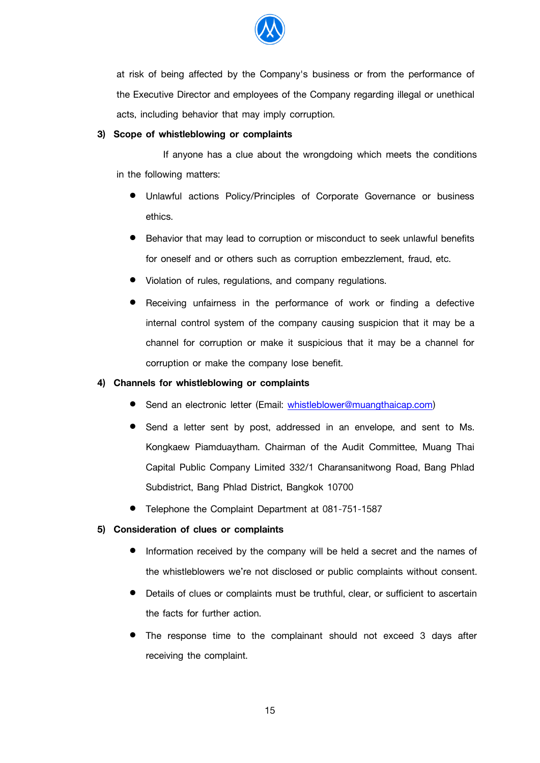

at risk of being affected by the Company's business or from the performance of the Executive Director and employees of the Company regarding illegal or unethical acts, including behavior that may imply corruption.

## **3) Scope of whistleblowing or complaints**

 If anyone has a clue about the wrongdoing which meets the conditions in the following matters:

- Unlawful actions Policy/Principles of Corporate Governance or business ethics.
- Behavior that may lead to corruption or misconduct to seek unlawful benefits for oneself and or others such as corruption embezzlement, fraud, etc.
- Violation of rules, regulations, and company regulations.
- Receiving unfairness in the performance of work or finding a defective internal control system of the company causing suspicion that it may be a channel for corruption or make it suspicious that it may be a channel for corruption or make the company lose benefit.

# **4) Channels for whistleblowing or complaints**

- Send an electronic letter (Email: [whistleblower@muangthaicap.com\)](mailto:whistleblower@muangthaicap.com)
- Send a letter sent by post, addressed in an envelope, and sent to Ms. Kongkaew Piamduaytham. Chairman of the Audit Committee, Muang Thai Capital Public Company Limited 332/1 Charansanitwong Road, Bang Phlad Subdistrict, Bang Phlad District, Bangkok 10700
- Telephone the Complaint Department at 081-751-1587

# **5) Consideration of clues or complaints**

- Information received by the company will be held a secret and the names of the whistleblowers we're not disclosed or public complaints without consent.
- Details of clues or complaints must be truthful, clear, or sufficient to ascertain the facts for further action.
- The response time to the complainant should not exceed 3 days after receiving the complaint.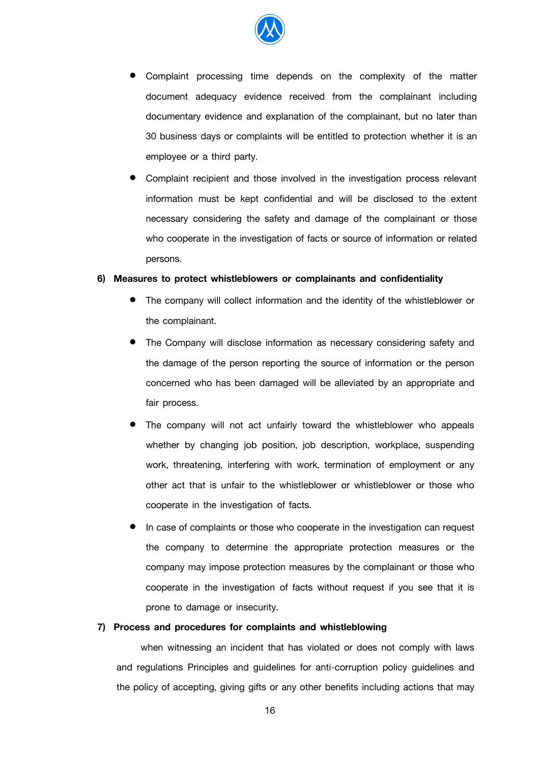

- Complaint processing time depends on the complexity of the matter document adequacy evidence received from the complainant including documentary evidence and explanation of the complainant, but no later than 30 business days or complaints will be entitled to protection whether it is an employee or a third party.
- Complaint recipient and those involved in the investigation process relevant information must be kept confidential and will be disclosed to the extent necessary considering the safety and damage of the complainant or those who cooperate in the investigation of facts or source of information or related persons.

#### **6) Measures to protect whistleblowers or complainants and confidentiality**

- The company will collect information and the identity of the whistleblower or the complainant.
- The Company will disclose information as necessary considering safety and the damage of the person reporting the source of information or the person concerned who has been damaged will be alleviated by an appropriate and fair process.
- The company will not act unfairly toward the whistleblower who appeals whether by changing job position, job description, workplace, suspending work, threatening, interfering with work, termination of employment or any other act that is unfair to the whistleblower or whistleblower or those who cooperate in the investigation of facts.
- In case of complaints or those who cooperate in the investigation can request the company to determine the appropriate protection measures or the company may impose protection measures by the complainant or those who cooperate in the investigation of facts without request if you see that it is prone to damage or insecurity.

#### **7) Process and procedures for complaints and whistleblowing**

 when witnessing an incident that has violated or does not comply with laws and regulations Principles and guidelines for anti-corruption policy guidelines and the policy of accepting, giving gifts or any other benefits including actions that may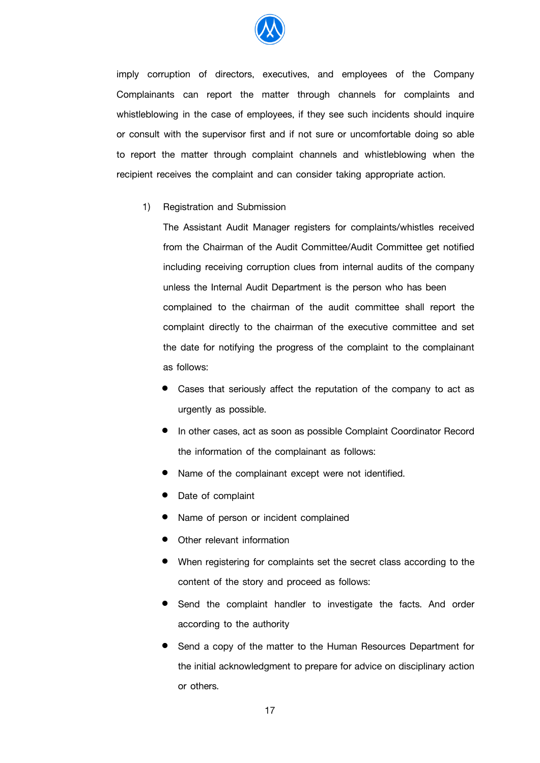

imply corruption of directors, executives, and employees of the Company Complainants can report the matter through channels for complaints and whistleblowing in the case of employees, if they see such incidents should inquire or consult with the supervisor first and if not sure or uncomfortable doing so able to report the matter through complaint channels and whistleblowing when the recipient receives the complaint and can consider taking appropriate action.

1) Registration and Submission

 The Assistant Audit Manager registers for complaints/whistles received from the Chairman of the Audit Committee/Audit Committee get notified including receiving corruption clues from internal audits of the company unless the Internal Audit Department is the person who has been complained to the chairman of the audit committee shall report the complaint directly to the chairman of the executive committee and set the date for notifying the progress of the complaint to the complainant as follows:

- Cases that seriously affect the reputation of the company to act as urgently as possible.
- In other cases, act as soon as possible Complaint Coordinator Record the information of the complainant as follows:
- Name of the complainant except were not identified.
- Date of complaint
- Name of person or incident complained
- Other relevant information
- When registering for complaints set the secret class according to the content of the story and proceed as follows:
- Send the complaint handler to investigate the facts. And order according to the authority
- Send a copy of the matter to the Human Resources Department for the initial acknowledgment to prepare for advice on disciplinary action or others.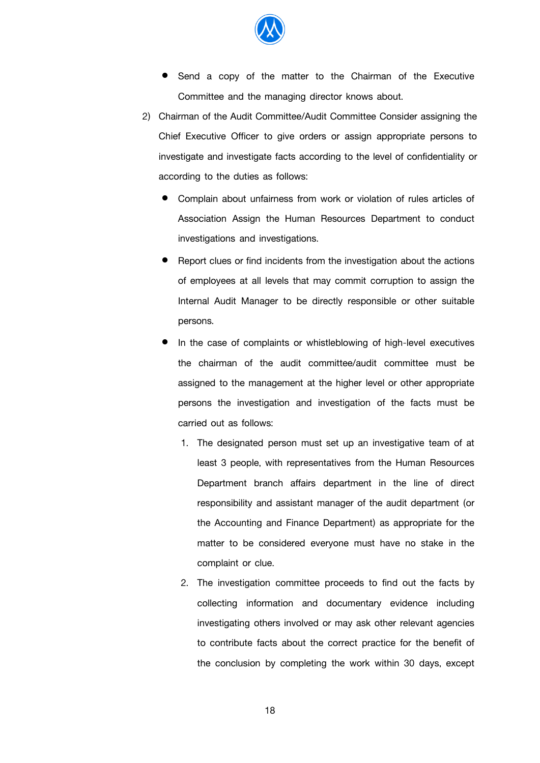

- Send a copy of the matter to the Chairman of the Executive Committee and the managing director knows about.
- 2) Chairman of the Audit Committee/Audit Committee Consider assigning the Chief Executive Officer to give orders or assign appropriate persons to investigate and investigate facts according to the level of confidentiality or according to the duties as follows:
	- Complain about unfairness from work or violation of rules articles of Association Assign the Human Resources Department to conduct investigations and investigations.
	- Report clues or find incidents from the investigation about the actions of employees at all levels that may commit corruption to assign the Internal Audit Manager to be directly responsible or other suitable persons.
	- In the case of complaints or whistleblowing of high-level executives the chairman of the audit committee/audit committee must be assigned to the management at the higher level or other appropriate persons the investigation and investigation of the facts must be carried out as follows:
		- 1. The designated person must set up an investigative team of at least 3 people, with representatives from the Human Resources Department branch affairs department in the line of direct responsibility and assistant manager of the audit department (or the Accounting and Finance Department) as appropriate for the matter to be considered everyone must have no stake in the complaint or clue.
		- 2. The investigation committee proceeds to find out the facts by collecting information and documentary evidence including investigating others involved or may ask other relevant agencies to contribute facts about the correct practice for the benefit of the conclusion by completing the work within 30 days, except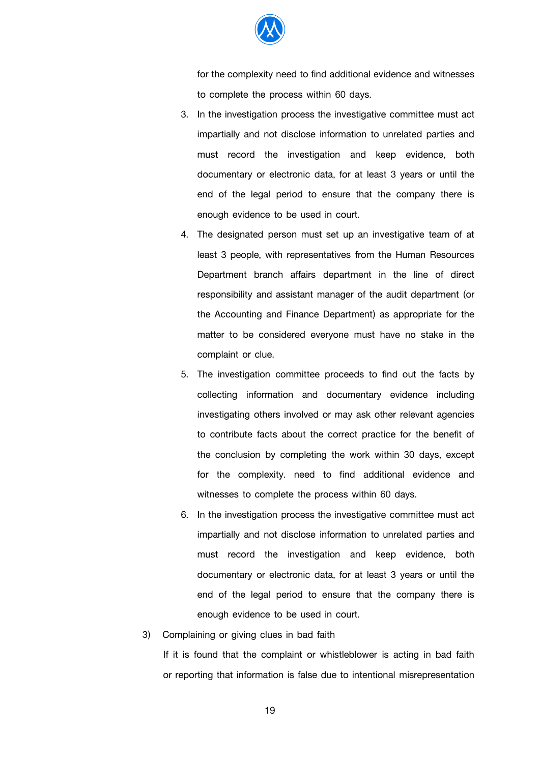

for the complexity need to find additional evidence and witnesses to complete the process within 60 days.

- 3. In the investigation process the investigative committee must act impartially and not disclose information to unrelated parties and must record the investigation and keep evidence, both documentary or electronic data, for at least 3 years or until the end of the legal period to ensure that the company there is enough evidence to be used in court.
- 4. The designated person must set up an investigative team of at least 3 people, with representatives from the Human Resources Department branch affairs department in the line of direct responsibility and assistant manager of the audit department (or the Accounting and Finance Department) as appropriate for the matter to be considered everyone must have no stake in the complaint or clue.
- 5. The investigation committee proceeds to find out the facts by collecting information and documentary evidence including investigating others involved or may ask other relevant agencies to contribute facts about the correct practice for the benefit of the conclusion by completing the work within 30 days, except for the complexity. need to find additional evidence and witnesses to complete the process within 60 days.
- 6. In the investigation process the investigative committee must act impartially and not disclose information to unrelated parties and must record the investigation and keep evidence, both documentary or electronic data, for at least 3 years or until the end of the legal period to ensure that the company there is enough evidence to be used in court.
- 3) Complaining or giving clues in bad faith

If it is found that the complaint or whistleblower is acting in bad faith or reporting that information is false due to intentional misrepresentation